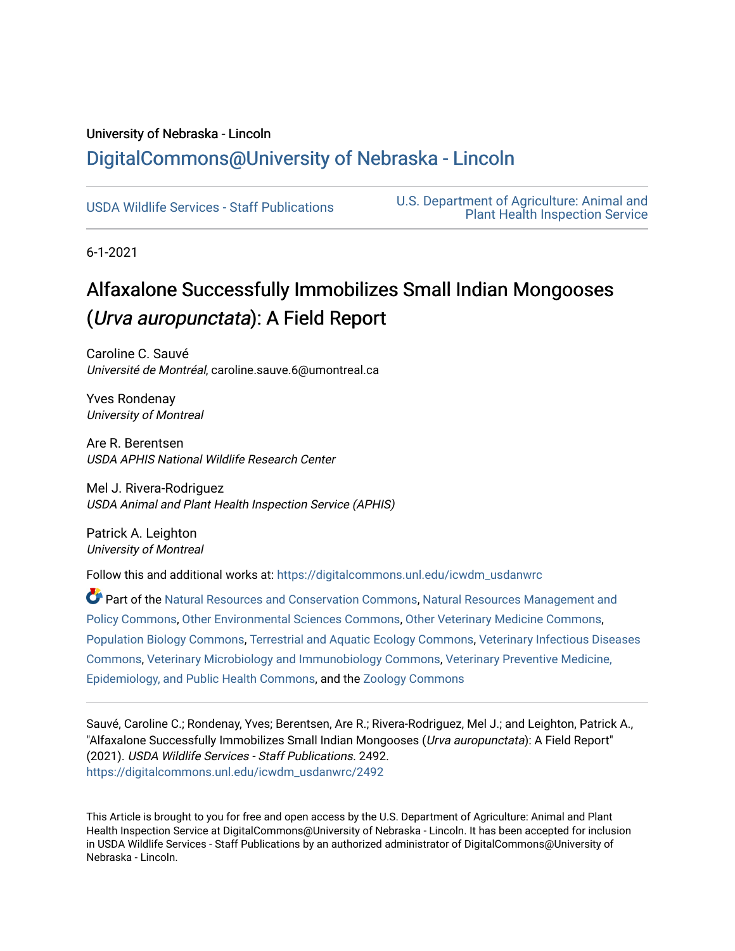### University of Nebraska - Lincoln [DigitalCommons@University of Nebraska - Lincoln](https://digitalcommons.unl.edu/)

[USDA Wildlife Services - Staff Publications](https://digitalcommons.unl.edu/icwdm_usdanwrc) [U.S. Department of Agriculture: Animal and](https://digitalcommons.unl.edu/usdaaphis)  [Plant Health Inspection Service](https://digitalcommons.unl.edu/usdaaphis) 

6-1-2021

## Alfaxalone Successfully Immobilizes Small Indian Mongooses (Urva auropunctata): A Field Report

Caroline C. Sauvé Université de Montréal, caroline.sauve.6@umontreal.ca

Yves Rondenay University of Montreal

Are R. Berentsen USDA APHIS National Wildlife Research Center

Mel J. Rivera-Rodriguez USDA Animal and Plant Health Inspection Service (APHIS)

Patrick A. Leighton University of Montreal

Follow this and additional works at: [https://digitalcommons.unl.edu/icwdm\\_usdanwrc](https://digitalcommons.unl.edu/icwdm_usdanwrc?utm_source=digitalcommons.unl.edu%2Ficwdm_usdanwrc%2F2492&utm_medium=PDF&utm_campaign=PDFCoverPages)

Part of the [Natural Resources and Conservation Commons,](http://network.bepress.com/hgg/discipline/168?utm_source=digitalcommons.unl.edu%2Ficwdm_usdanwrc%2F2492&utm_medium=PDF&utm_campaign=PDFCoverPages) [Natural Resources Management and](http://network.bepress.com/hgg/discipline/170?utm_source=digitalcommons.unl.edu%2Ficwdm_usdanwrc%2F2492&utm_medium=PDF&utm_campaign=PDFCoverPages) [Policy Commons](http://network.bepress.com/hgg/discipline/170?utm_source=digitalcommons.unl.edu%2Ficwdm_usdanwrc%2F2492&utm_medium=PDF&utm_campaign=PDFCoverPages), [Other Environmental Sciences Commons](http://network.bepress.com/hgg/discipline/173?utm_source=digitalcommons.unl.edu%2Ficwdm_usdanwrc%2F2492&utm_medium=PDF&utm_campaign=PDFCoverPages), [Other Veterinary Medicine Commons](http://network.bepress.com/hgg/discipline/771?utm_source=digitalcommons.unl.edu%2Ficwdm_usdanwrc%2F2492&utm_medium=PDF&utm_campaign=PDFCoverPages), [Population Biology Commons,](http://network.bepress.com/hgg/discipline/19?utm_source=digitalcommons.unl.edu%2Ficwdm_usdanwrc%2F2492&utm_medium=PDF&utm_campaign=PDFCoverPages) [Terrestrial and Aquatic Ecology Commons,](http://network.bepress.com/hgg/discipline/20?utm_source=digitalcommons.unl.edu%2Ficwdm_usdanwrc%2F2492&utm_medium=PDF&utm_campaign=PDFCoverPages) [Veterinary Infectious Diseases](http://network.bepress.com/hgg/discipline/770?utm_source=digitalcommons.unl.edu%2Ficwdm_usdanwrc%2F2492&utm_medium=PDF&utm_campaign=PDFCoverPages)  [Commons](http://network.bepress.com/hgg/discipline/770?utm_source=digitalcommons.unl.edu%2Ficwdm_usdanwrc%2F2492&utm_medium=PDF&utm_campaign=PDFCoverPages), [Veterinary Microbiology and Immunobiology Commons,](http://network.bepress.com/hgg/discipline/763?utm_source=digitalcommons.unl.edu%2Ficwdm_usdanwrc%2F2492&utm_medium=PDF&utm_campaign=PDFCoverPages) [Veterinary Preventive Medicine,](http://network.bepress.com/hgg/discipline/769?utm_source=digitalcommons.unl.edu%2Ficwdm_usdanwrc%2F2492&utm_medium=PDF&utm_campaign=PDFCoverPages)  [Epidemiology, and Public Health Commons,](http://network.bepress.com/hgg/discipline/769?utm_source=digitalcommons.unl.edu%2Ficwdm_usdanwrc%2F2492&utm_medium=PDF&utm_campaign=PDFCoverPages) and the [Zoology Commons](http://network.bepress.com/hgg/discipline/81?utm_source=digitalcommons.unl.edu%2Ficwdm_usdanwrc%2F2492&utm_medium=PDF&utm_campaign=PDFCoverPages)

Sauvé, Caroline C.; Rondenay, Yves; Berentsen, Are R.; Rivera-Rodriguez, Mel J.; and Leighton, Patrick A., "Alfaxalone Successfully Immobilizes Small Indian Mongooses (Urva auropunctata): A Field Report" (2021). USDA Wildlife Services - Staff Publications. 2492. [https://digitalcommons.unl.edu/icwdm\\_usdanwrc/2492](https://digitalcommons.unl.edu/icwdm_usdanwrc/2492?utm_source=digitalcommons.unl.edu%2Ficwdm_usdanwrc%2F2492&utm_medium=PDF&utm_campaign=PDFCoverPages) 

This Article is brought to you for free and open access by the U.S. Department of Agriculture: Animal and Plant Health Inspection Service at DigitalCommons@University of Nebraska - Lincoln. It has been accepted for inclusion in USDA Wildlife Services - Staff Publications by an authorized administrator of DigitalCommons@University of Nebraska - Lincoln.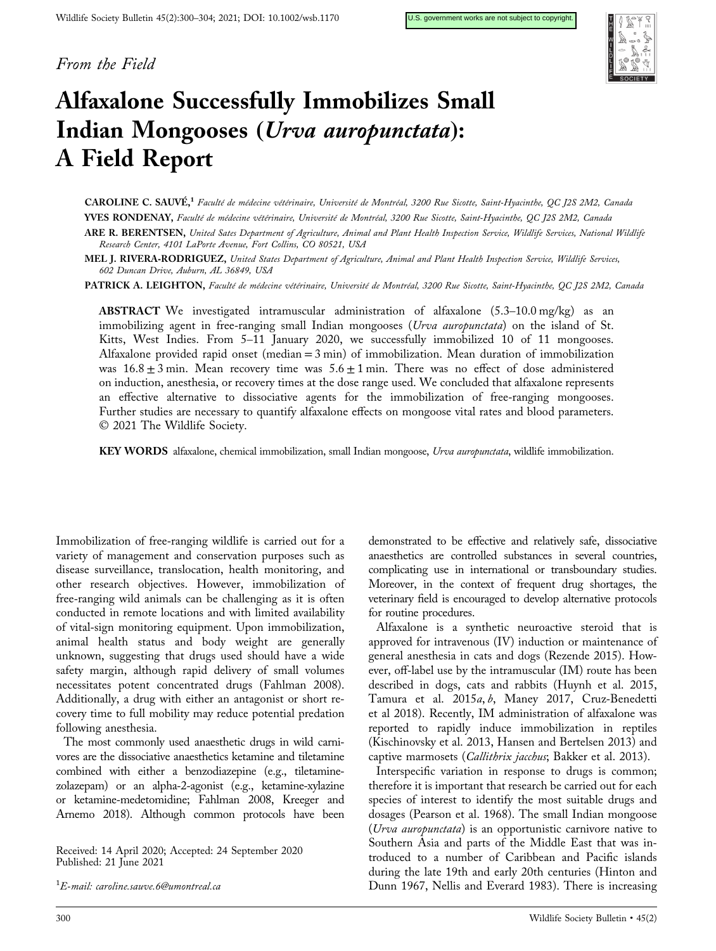From the Field



# Alfaxalone Successfully Immobilizes Small Indian Mongooses (Urva auropunctata): A Field Report

CAROLINE C. SAUVÉ,1 Faculté de médecine vétérinaire, Université de Montréal, 3200 Rue Sicotte, Saint‐Hyacinthe, QC J2S 2M2, Canada YVES RONDENAY, Faculté de médecine vétérinaire, Université de Montréal, 3200 Rue Sicotte, Saint‐Hyacinthe, QC J2S 2M2, Canada ARE R. BERENTSEN, United Sates Department of Agriculture, Animal and Plant Health Inspection Service, Wildlife Services, National Wildlife

Research Center, 4101 LaPorte Avenue, Fort Collins, CO 80521, USA MEL J. RIVERA‐RODRIGUEZ, United States Department of Agriculture, Animal and Plant Health Inspection Service, Wildlife Services,

602 Duncan Drive, Auburn, AL 36849, USA PATRICK A. LEIGHTON, Faculté de médecine vétérinaire, Université de Montréal, 3200 Rue Sicotte, Saint-Hyacinthe, OC J2S 2M2, Canada

ABSTRACT We investigated intramuscular administration of alfaxalone (5.3–10.0 mg/kg) as an immobilizing agent in free-ranging small Indian mongooses (Urva auropunctata) on the island of St. Kitts, West Indies. From 5–11 January 2020, we successfully immobilized 10 of 11 mongooses. Alfaxalone provided rapid onset (median  $= 3$  min) of immobilization. Mean duration of immobilization was  $16.8 \pm 3$  min. Mean recovery time was  $5.6 \pm 1$  min. There was no effect of dose administered on induction, anesthesia, or recovery times at the dose range used. We concluded that alfaxalone represents an effective alternative to dissociative agents for the immobilization of free‐ranging mongooses. Further studies are necessary to quantify alfaxalone effects on mongoose vital rates and blood parameters. © 2021 The Wildlife Society.

KEY WORDS alfaxalone, chemical immobilization, small Indian mongoose, Urva auropunctata, wildlife immobilization.

Immobilization of free‐ranging wildlife is carried out for a variety of management and conservation purposes such as disease surveillance, translocation, health monitoring, and other research objectives. However, immobilization of free‐ranging wild animals can be challenging as it is often conducted in remote locations and with limited availability of vital‐sign monitoring equipment. Upon immobilization, animal health status and body weight are generally unknown, suggesting that drugs used should have a wide safety margin, although rapid delivery of small volumes necessitates potent concentrated drugs (Fahlman 2008). Additionally, a drug with either an antagonist or short recovery time to full mobility may reduce potential predation following anesthesia.

The most commonly used anaesthetic drugs in wild carnivores are the dissociative anaesthetics ketamine and tiletamine combined with either a benzodiazepine (e.g., tiletaminezolazepam) or an alpha‐2‐agonist (e.g., ketamine‐xylazine or ketamine‐medetomidine; Fahlman 2008, Kreeger and Arnemo 2018). Although common protocols have been

Received: 14 April 2020; Accepted: 24 September 2020 Published: 21 June 2021

 $^1\!E$ -mail: [caroline.sauve.6@umontreal.ca](mailto:caroline.sauve.6@umontreal.ca)

demonstrated to be effective and relatively safe, dissociative anaesthetics are controlled substances in several countries, complicating use in international or transboundary studies. Moreover, in the context of frequent drug shortages, the veterinary field is encouraged to develop alternative protocols for routine procedures.

Alfaxalone is a synthetic neuroactive steroid that is approved for intravenous (IV) induction or maintenance of general anesthesia in cats and dogs (Rezende 2015). However, off-label use by the intramuscular (IM) route has been described in dogs, cats and rabbits (Huynh et al. 2015, Tamura et al. 2015a, b, Maney 2017, Cruz‐Benedetti et al 2018). Recently, IM administration of alfaxalone was reported to rapidly induce immobilization in reptiles (Kischinovsky et al. 2013, Hansen and Bertelsen 2013) and captive marmosets (Callithrix jacchus; Bakker et al. 2013).

Interspecific variation in response to drugs is common; therefore it is important that research be carried out for each species of interest to identify the most suitable drugs and dosages (Pearson et al. 1968). The small Indian mongoose (Urva auropunctata) is an opportunistic carnivore native to Southern Asia and parts of the Middle East that was introduced to a number of Caribbean and Pacific islands during the late 19th and early 20th centuries (Hinton and Dunn 1967, Nellis and Everard 1983). There is increasing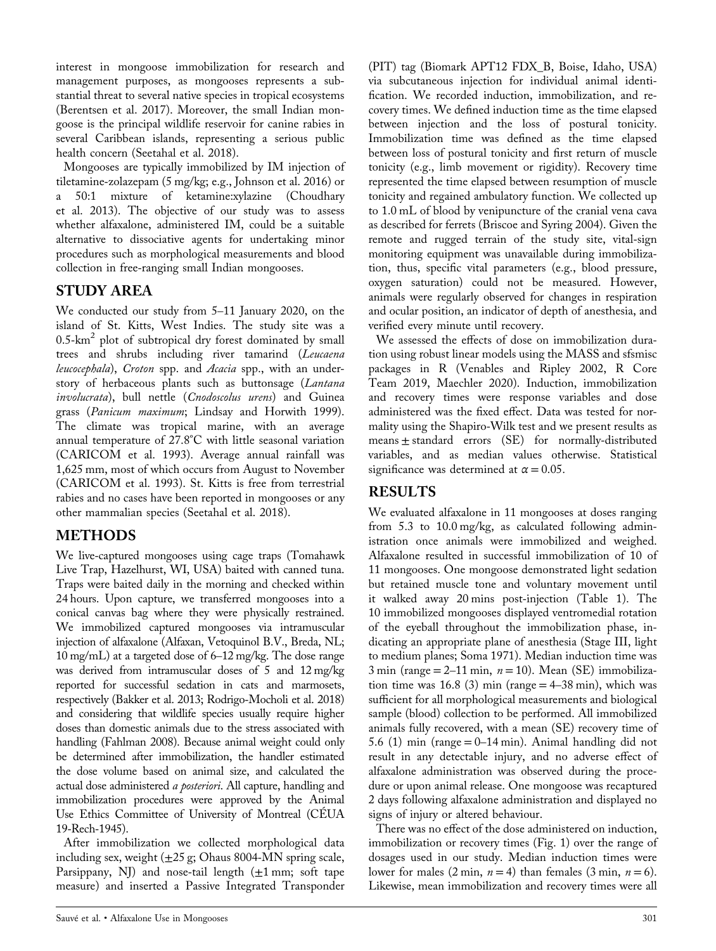interest in mongoose immobilization for research and management purposes, as mongooses represents a substantial threat to several native species in tropical ecosystems (Berentsen et al. 2017). Moreover, the small Indian mongoose is the principal wildlife reservoir for canine rabies in several Caribbean islands, representing a serious public health concern (Seetahal et al. 2018).

Mongooses are typically immobilized by IM injection of tiletamine‐zolazepam (5 mg/kg; e.g., Johnson et al. 2016) or a 50:1 mixture of ketamine:xylazine (Choudhary et al. 2013). The objective of our study was to assess whether alfaxalone, administered IM, could be a suitable alternative to dissociative agents for undertaking minor procedures such as morphological measurements and blood collection in free‐ranging small Indian mongooses.

#### STUDY AREA

We conducted our study from 5–11 January 2020, on the island of St. Kitts, West Indies. The study site was a  $0.5$ - $km<sup>2</sup>$  plot of subtropical dry forest dominated by small trees and shrubs including river tamarind (Leucaena leucocephala), Croton spp. and Acacia spp., with an understory of herbaceous plants such as buttonsage (Lantana involucrata), bull nettle (Cnodoscolus urens) and Guinea grass (Panicum maximum; Lindsay and Horwith 1999). The climate was tropical marine, with an average annual temperature of 27.8°C with little seasonal variation (CARICOM et al. 1993). Average annual rainfall was 1,625 mm, most of which occurs from August to November (CARICOM et al. 1993). St. Kitts is free from terrestrial rabies and no cases have been reported in mongooses or any other mammalian species (Seetahal et al. 2018).

#### METHODS

We live‐captured mongooses using cage traps (Tomahawk Live Trap, Hazelhurst, WI, USA) baited with canned tuna. Traps were baited daily in the morning and checked within 24 hours. Upon capture, we transferred mongooses into a conical canvas bag where they were physically restrained. We immobilized captured mongooses via intramuscular injection of alfaxalone (Alfaxan, Vetoquinol B.V., Breda, NL; 10 mg/mL) at a targeted dose of 6–12 mg/kg. The dose range was derived from intramuscular doses of 5 and 12 mg/kg reported for successful sedation in cats and marmosets, respectively (Bakker et al. 2013; Rodrigo‐Mocholi et al. 2018) and considering that wildlife species usually require higher doses than domestic animals due to the stress associated with handling (Fahlman 2008). Because animal weight could only be determined after immobilization, the handler estimated the dose volume based on animal size, and calculated the actual dose administered a posteriori. All capture, handling and immobilization procedures were approved by the Animal Use Ethics Committee of University of Montreal (CÉUA 19‐Rech‐1945).

After immobilization we collected morphological data including sex, weight  $(\pm 25 \text{ g})$ ; Ohaus 8004-MN spring scale, Parsippany, NJ) and nose-tail length  $(\pm 1 \text{ mm})$ ; soft tape measure) and inserted a Passive Integrated Transponder

(PIT) tag (Biomark APT12 FDX\_B, Boise, Idaho, USA) via subcutaneous injection for individual animal identification. We recorded induction, immobilization, and recovery times. We defined induction time as the time elapsed between injection and the loss of postural tonicity. Immobilization time was defined as the time elapsed between loss of postural tonicity and first return of muscle tonicity (e.g., limb movement or rigidity). Recovery time represented the time elapsed between resumption of muscle tonicity and regained ambulatory function. We collected up to 1.0 mL of blood by venipuncture of the cranial vena cava as described for ferrets (Briscoe and Syring 2004). Given the remote and rugged terrain of the study site, vital‐sign monitoring equipment was unavailable during immobilization, thus, specific vital parameters (e.g., blood pressure, oxygen saturation) could not be measured. However, animals were regularly observed for changes in respiration and ocular position, an indicator of depth of anesthesia, and verified every minute until recovery.

We assessed the effects of dose on immobilization duration using robust linear models using the MASS and sfsmisc packages in R (Venables and Ripley 2002, R Core Team 2019, Maechler 2020). Induction, immobilization and recovery times were response variables and dose administered was the fixed effect. Data was tested for normality using the Shapiro‐Wilk test and we present results as means ± standard errors (SE) for normally-distributed variables, and as median values otherwise. Statistical significance was determined at  $\alpha = 0.05$ .

#### RESULTS

We evaluated alfaxalone in 11 mongooses at doses ranging from 5.3 to 10.0 mg/kg, as calculated following administration once animals were immobilized and weighed. Alfaxalone resulted in successful immobilization of 10 of 11 mongooses. One mongoose demonstrated light sedation but retained muscle tone and voluntary movement until it walked away 20 mins post‐injection (Table 1). The 10 immobilized mongooses displayed ventromedial rotation of the eyeball throughout the immobilization phase, indicating an appropriate plane of anesthesia (Stage III, light to medium planes; Soma 1971). Median induction time was 3 min (range  $= 2-11$  min,  $n = 10$ ). Mean (SE) immobilization time was  $16.8$  (3) min (range  $= 4-38$  min), which was sufficient for all morphological measurements and biological sample (blood) collection to be performed. All immobilized animals fully recovered, with a mean (SE) recovery time of 5.6 (1) min (range  $= 0$ –14 min). Animal handling did not result in any detectable injury, and no adverse effect of alfaxalone administration was observed during the procedure or upon animal release. One mongoose was recaptured 2 days following alfaxalone administration and displayed no signs of injury or altered behaviour.

There was no effect of the dose administered on induction, immobilization or recovery times (Fig. 1) over the range of dosages used in our study. Median induction times were lower for males  $(2 \text{ min}, n = 4)$  than females  $(3 \text{ min}, n = 6)$ . Likewise, mean immobilization and recovery times were all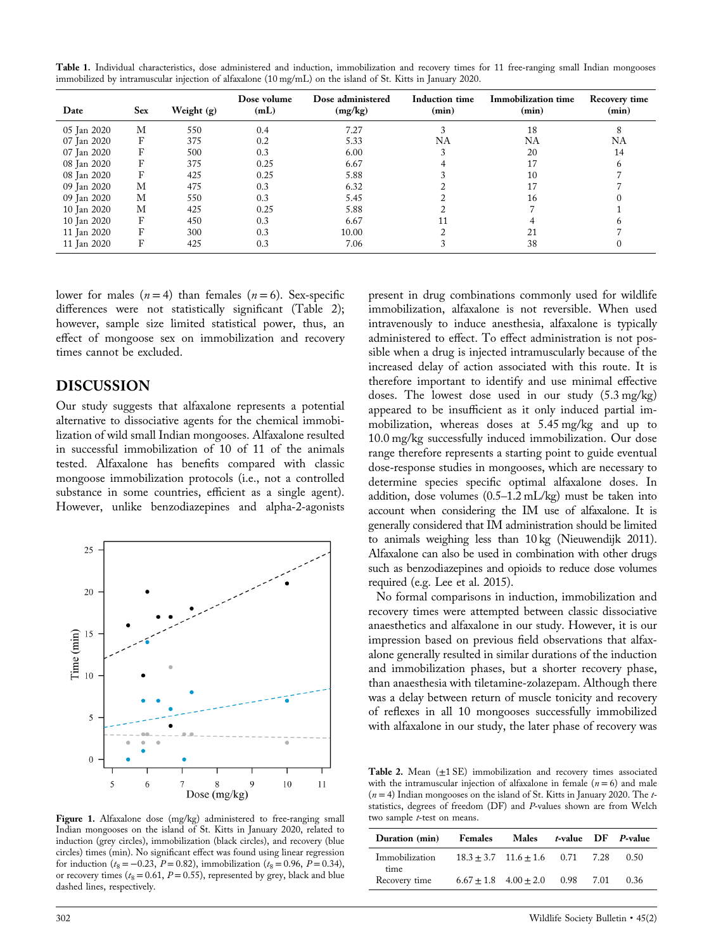| Table 1. Individual characteristics, dose administered and induction, immobilization and recovery times for 11 free-ranging small Indian mongooses |  |  |  |  |
|----------------------------------------------------------------------------------------------------------------------------------------------------|--|--|--|--|
| immobilized by intramuscular injection of alfaxalone (10 mg/mL) on the island of St. Kitts in January 2020.                                        |  |  |  |  |

| Date        | <b>Sex</b> | Weight $(g)$ | Dose volume<br>(mL) | Dose administered<br>(mg/kg) | <b>Induction time</b><br>(min) | <b>Immobilization time</b><br>(min) | Recovery time<br>(min) |
|-------------|------------|--------------|---------------------|------------------------------|--------------------------------|-------------------------------------|------------------------|
| 05 Jan 2020 | М          | 550          | 0.4                 | 7.27                         |                                | 18                                  | 8                      |
| 07 Jan 2020 | F          | 375          | 0.2                 | 5.33                         | NA                             | NA                                  | NA                     |
| 07 Jan 2020 | F          | 500          | 0.3                 | 6.00                         |                                | 20                                  | 14                     |
| 08 Jan 2020 | F          | 375          | 0.25                | 6.67                         |                                | 17                                  |                        |
| 08 Jan 2020 | F          | 425          | 0.25                | 5.88                         |                                | 10                                  |                        |
| 09 Jan 2020 | М          | 475          | 0.3                 | 6.32                         |                                |                                     |                        |
| 09 Jan 2020 | М          | 550          | 0.3                 | 5.45                         |                                | 16                                  |                        |
| 10 Jan 2020 | М          | 425          | 0.25                | 5.88                         |                                |                                     |                        |
| 10 Jan 2020 | F          | 450          | 0.3                 | 6.67                         |                                |                                     |                        |
| 11 Jan 2020 | F          | 300          | 0.3                 | 10.00                        |                                | 21                                  |                        |
| 11 Jan 2020 | F          | 425          | 0.3                 | 7.06                         |                                | 38                                  |                        |

lower for males  $(n = 4)$  than females  $(n = 6)$ . Sex-specific differences were not statistically significant (Table 2); however, sample size limited statistical power, thus, an effect of mongoose sex on immobilization and recovery times cannot be excluded.

#### DISCUSSION

Our study suggests that alfaxalone represents a potential alternative to dissociative agents for the chemical immobilization of wild small Indian mongooses. Alfaxalone resulted in successful immobilization of 10 of 11 of the animals tested. Alfaxalone has benefits compared with classic mongoose immobilization protocols (i.e., not a controlled substance in some countries, efficient as a single agent). However, unlike benzodiazepines and alpha‐2‐agonists



Figure 1. Alfaxalone dose (mg/kg) administered to free-ranging small Indian mongooses on the island of St. Kitts in January 2020, related to induction (grey circles), immobilization (black circles), and recovery (blue circles) times (min). No significant effect was found using linear regression for induction ( $t_8 = -0.23$ ,  $P = 0.82$ ), immobilization ( $t_8 = 0.96$ ,  $P = 0.34$ ), or recovery times ( $t_8$  = 0.61, P = 0.55), represented by grey, black and blue dashed lines, respectively.

present in drug combinations commonly used for wildlife immobilization, alfaxalone is not reversible. When used intravenously to induce anesthesia, alfaxalone is typically administered to effect. To effect administration is not possible when a drug is injected intramuscularly because of the increased delay of action associated with this route. It is therefore important to identify and use minimal effective doses. The lowest dose used in our study (5.3 mg/kg) appeared to be insufficient as it only induced partial immobilization, whereas doses at 5.45 mg/kg and up to 10.0 mg/kg successfully induced immobilization. Our dose range therefore represents a starting point to guide eventual dose‐response studies in mongooses, which are necessary to determine species specific optimal alfaxalone doses. In addition, dose volumes (0.5–1.2 mL/kg) must be taken into account when considering the IM use of alfaxalone. It is generally considered that IM administration should be limited to animals weighing less than 10 kg (Nieuwendijk 2011). Alfaxalone can also be used in combination with other drugs such as benzodiazepines and opioids to reduce dose volumes required (e.g. Lee et al. 2015).

No formal comparisons in induction, immobilization and recovery times were attempted between classic dissociative anaesthetics and alfaxalone in our study. However, it is our impression based on previous field observations that alfaxalone generally resulted in similar durations of the induction and immobilization phases, but a shorter recovery phase, than anaesthesia with tiletamine‐zolazepam. Although there was a delay between return of muscle tonicity and recovery of reflexes in all 10 mongooses successfully immobilized with alfaxalone in our study, the later phase of recovery was

Table 2. Mean  $(\pm 1 \text{ SE})$  immobilization and recovery times associated with the intramuscular injection of alfaxalone in female  $(n = 6)$  and male  $(n = 4)$  Indian mongooses on the island of St. Kitts in January 2020. The tstatistics, degrees of freedom (DF) and P-values shown are from Welch two sample t-test on means.

| Duration (min)         | Females | Males                                    |  | <i>t</i> -value DF <i>P</i> -value |
|------------------------|---------|------------------------------------------|--|------------------------------------|
| Immobilization<br>time |         | $18.3 + 3.7$ $11.6 + 1.6$ 0.71 7.28 0.50 |  |                                    |
| Recovery time          |         | $6.67 \pm 1.8$ $4.00 \pm 2.0$ 0.98 7.01  |  | 0.36                               |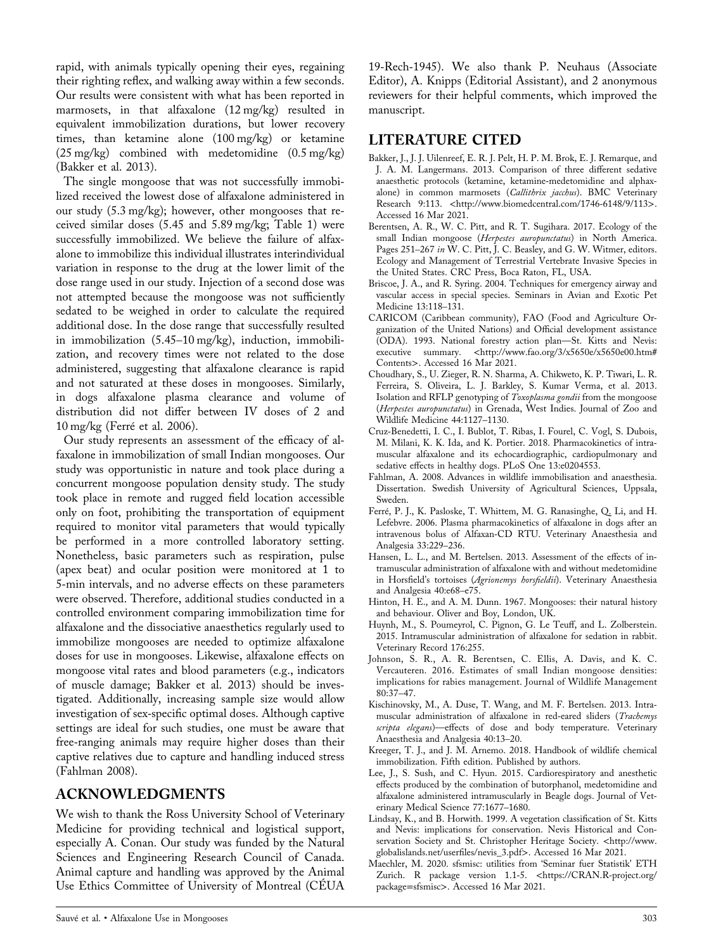rapid, with animals typically opening their eyes, regaining their righting reflex, and walking away within a few seconds. Our results were consistent with what has been reported in marmosets, in that alfaxalone (12 mg/kg) resulted in equivalent immobilization durations, but lower recovery times, than ketamine alone (100 mg/kg) or ketamine (25 mg/kg) combined with medetomidine (0.5 mg/kg) (Bakker et al. 2013).

The single mongoose that was not successfully immobilized received the lowest dose of alfaxalone administered in our study (5.3 mg/kg); however, other mongooses that received similar doses (5.45 and 5.89 mg/kg; Table 1) were successfully immobilized. We believe the failure of alfaxalone to immobilize this individual illustrates interindividual variation in response to the drug at the lower limit of the dose range used in our study. Injection of a second dose was not attempted because the mongoose was not sufficiently sedated to be weighed in order to calculate the required additional dose. In the dose range that successfully resulted in immobilization (5.45–10 mg/kg), induction, immobilization, and recovery times were not related to the dose administered, suggesting that alfaxalone clearance is rapid and not saturated at these doses in mongooses. Similarly, in dogs alfaxalone plasma clearance and volume of distribution did not differ between IV doses of 2 and 10 mg/kg (Ferré et al. 2006).

Our study represents an assessment of the efficacy of alfaxalone in immobilization of small Indian mongooses. Our study was opportunistic in nature and took place during a concurrent mongoose population density study. The study took place in remote and rugged field location accessible only on foot, prohibiting the transportation of equipment required to monitor vital parameters that would typically be performed in a more controlled laboratory setting. Nonetheless, basic parameters such as respiration, pulse (apex beat) and ocular position were monitored at 1 to 5‐min intervals, and no adverse effects on these parameters were observed. Therefore, additional studies conducted in a controlled environment comparing immobilization time for alfaxalone and the dissociative anaesthetics regularly used to immobilize mongooses are needed to optimize alfaxalone doses for use in mongooses. Likewise, alfaxalone effects on mongoose vital rates and blood parameters (e.g., indicators of muscle damage; Bakker et al. 2013) should be investigated. Additionally, increasing sample size would allow investigation of sex‐specific optimal doses. Although captive settings are ideal for such studies, one must be aware that free‐ranging animals may require higher doses than their captive relatives due to capture and handling induced stress (Fahlman 2008).

#### ACKNOWLEDGMENTS

We wish to thank the Ross University School of Veterinary Medicine for providing technical and logistical support, especially A. Conan. Our study was funded by the Natural Sciences and Engineering Research Council of Canada. Animal capture and handling was approved by the Animal Use Ethics Committee of University of Montreal (CÉUA

19‐Rech‐1945). We also thank P. Neuhaus (Associate Editor), A. Knipps (Editorial Assistant), and 2 anonymous reviewers for their helpful comments, which improved the manuscript.

#### LITERATURE CITED

- Bakker, J., J. J. Uilenreef, E. R. J. Pelt, H. P. M. Brok, E. J. Remarque, and J. A. M. Langermans. 2013. Comparison of three different sedative anaesthetic protocols (ketamine, ketamine‐medetomidine and alphaxalone) in common marmosets (Callithrix jacchus). BMC Veterinary Research 9:113. <[http://www.biomedcentral.com/1746](http://www.biomedcentral.com/1746-6148/9/113)-6148/9/113>. Accessed 16 Mar 2021.
- Berentsen, A. R., W. C. Pitt, and R. T. Sugihara. 2017. Ecology of the small Indian mongoose (Herpestes auropunctatus) in North America. Pages 251–267 in W. C. Pitt, J. C. Beasley, and G. W. Witmer, editors. Ecology and Management of Terrestrial Vertebrate Invasive Species in the United States. CRC Press, Boca Raton, FL, USA.
- Briscoe, J. A., and R. Syring. 2004. Techniques for emergency airway and vascular access in special species. Seminars in Avian and Exotic Pet Medicine 13:118–131.
- CARICOM (Caribbean community), FAO (Food and Agriculture Organization of the United Nations) and Official development assistance (ODA). 1993. National forestry action plan—St. Kitts and Nevis: executive summary. <[http://www.fao.org/3/x5650e/x5650e00.htm#](http://www.fao.org/3/x5650e/x5650e00.htm#Contents) [Contents](http://www.fao.org/3/x5650e/x5650e00.htm#Contents)>. Accessed 16 Mar 2021.
- Choudhary, S., U. Zieger, R. N. Sharma, A. Chikweto, K. P. Tiwari, L. R. Ferreira, S. Oliveira, L. J. Barkley, S. Kumar Verma, et al. 2013. Isolation and RFLP genotyping of Toxoplasma gondii from the mongoose (Herpestes auropunctatus) in Grenada, West Indies. Journal of Zoo and Wildlife Medicine 44:1127–1130.
- Cruz‐Benedetti, I. C., I. Bublot, T. Ribas, I. Fourel, C. Vogl, S. Dubois, M. Milani, K. K. Ida, and K. Portier. 2018. Pharmacokinetics of intramuscular alfaxalone and its echocardiographic, cardiopulmonary and sedative effects in healthy dogs. PLoS One 13:e0204553.
- Fahlman, A. 2008. Advances in wildlife immobilisation and anaesthesia. Dissertation. Swedish University of Agricultural Sciences, Uppsala, Sweden.
- Ferré, P. J., K. Pasloske, T. Whittem, M. G. Ranasinghe, Q. Li, and H. Lefebvre. 2006. Plasma pharmacokinetics of alfaxalone in dogs after an intravenous bolus of Alfaxan‐CD RTU. Veterinary Anaesthesia and Analgesia 33:229–236.
- Hansen, L. L., and M. Bertelsen. 2013. Assessment of the effects of intramuscular administration of alfaxalone with and without medetomidine in Horsfield's tortoises (Agrionemys horsfieldii). Veterinary Anaesthesia and Analgesia 40:e68–e75.
- Hinton, H. E., and A. M. Dunn. 1967. Mongooses: their natural history and behaviour. Oliver and Boy, London, UK.
- Huynh, M., S. Poumeyrol, C. Pignon, G. Le Teuff, and L. Zolberstein. 2015. Intramuscular administration of alfaxalone for sedation in rabbit. Veterinary Record 176:255.
- Johnson, S. R., A. R. Berentsen, C. Ellis, A. Davis, and K. C. Vercauteren. 2016. Estimates of small Indian mongoose densities: implications for rabies management. Journal of Wildlife Management 80:37–47.
- Kischinovsky, M., A. Duse, T. Wang, and M. F. Bertelsen. 2013. Intramuscular administration of alfaxalone in red-eared sliders (Trachemys scripta elegans)-effects of dose and body temperature. Veterinary Anaesthesia and Analgesia 40:13–20.
- Kreeger, T. J., and J. M. Arnemo. 2018. Handbook of wildlife chemical immobilization. Fifth edition. Published by authors.
- Lee, J., S. Sush, and C. Hyun. 2015. Cardiorespiratory and anesthetic effects produced by the combination of butorphanol, medetomidine and alfaxalone administered intramuscularly in Beagle dogs. Journal of Veterinary Medical Science 77:1677–1680.
- Lindsay, K., and B. Horwith. 1999. A vegetation classification of St. Kitts and Nevis: implications for conservation. Nevis Historical and Conservation Society and St. Christopher Heritage Society. <[http://www.](http://www.globalislands.net/userfiles/nevis_3.pdf) [globalislands.net/user](http://www.globalislands.net/userfiles/nevis_3.pdf)files/nevis\_3.pdf>. Accessed 16 Mar 2021.
- Maechler, M. 2020. sfsmisc: utilities from 'Seminar fuer Statistik' ETH Zurich. R package version 1.1‐5. <[https://CRAN.R](https://CRAN.R-project.org/package=sfsmisc)-project.org/ [package](https://CRAN.R-project.org/package=sfsmisc)=sfsmisc>. Accessed 16 Mar 2021.